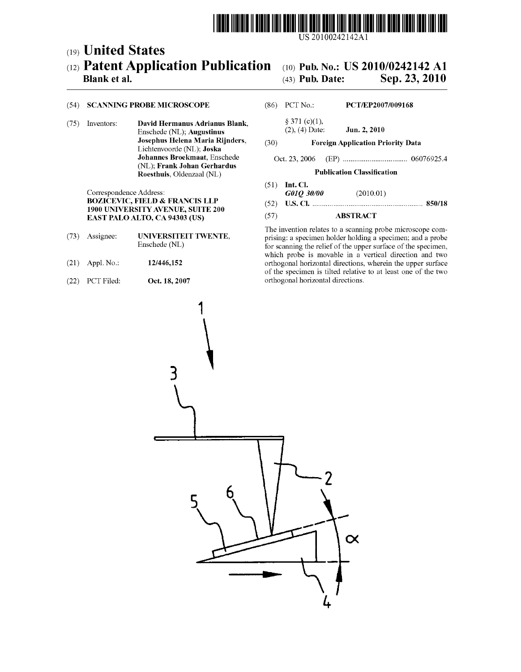

# (19) United States (12) Patent Application Publication (10) Pub. No.: US 2010/0242142 A1<br>Blank et al. (43) Pub. Date: Sep. 23, 2010

# Sep. 23, 2010

(75) Inventors: **David Hermanus Adrianus Blank**,  $\S 371 (c)(1)$ ,<br>Enschede (NL): **Augustinus** (2), (4) Date: Enschede (NL); Augustinus (2), (4) Date: Jun. 2, 2010<br>Josephus Helena Maria Rijnders, (30) Foreign Annlication Pr Lichtenvoorde (NL); Joska<br>Johannes Broekmaat, Enschede (NL); Frank Johan Gerhardus Roesthuis, Oldenzaal (NL) **Publication Classification** 

Correspondence Address: <br> **GOIO 30/00** (2010.01)<br> **BOZICEVIC, FIELD & FRANCIS LLP** (52) **IIS CI** 1900 UNIVERSITY AVENUE, SUITE 200  $E = (57)$  EAST PALO ALTO, CA 94303 (US) (57) ABSTRACT

- 
- 
- (22) PCT Filed: **Oct. 18, 2007** orthogonal horizontal directions.

## (54) SCANNING PROBE MICROSCOPE (86). PCT No.: PCT/EP2007/009168

- 
- (30) Foreign Application Priority Data

## Johannes Broekmaat, Enschede Oct. 23, 2006 (EP) .................................. O6O76925.4

- (51) Int. Cl.<br> $G01Q$  30/00
- BOZICEVIC, FIELD & FRANCIS LLP (52) U.S. Cl. .......................................................... 8SO/18

The invention relates to a scanning probe microscope com (73) Assignee: **UNIVERSITEIT TWENTE**, prising: a specimen holder holding a specimen; and a probe<br>Enschede (NL) for scanning the relief of the unner surface of the specimen for scanning the relief of the upper surface of the specimen, which probe is movable in a vertical direction and two (21) Appl. No.: 12/446,152 orthogonal horizontal directions, wherein the upper Surface of the specimen is tilted relative to at least one of the two

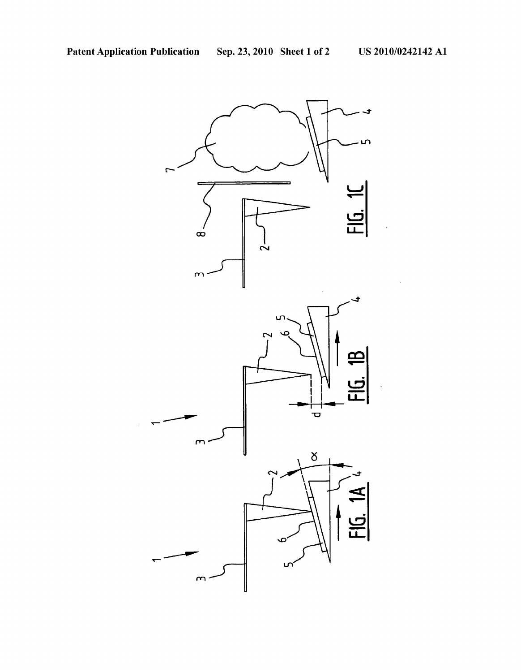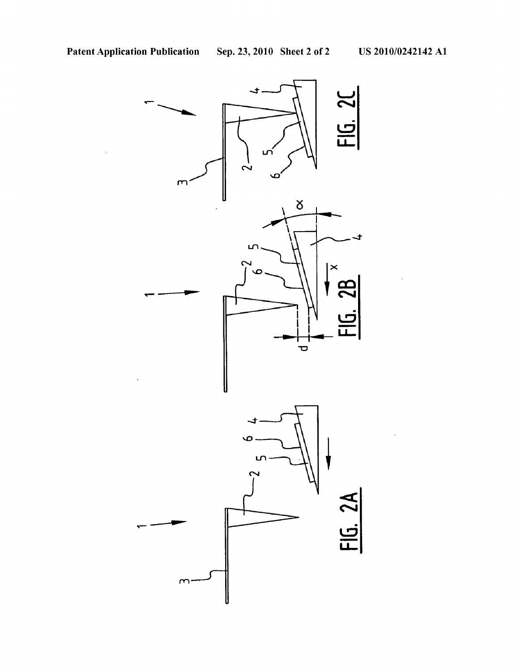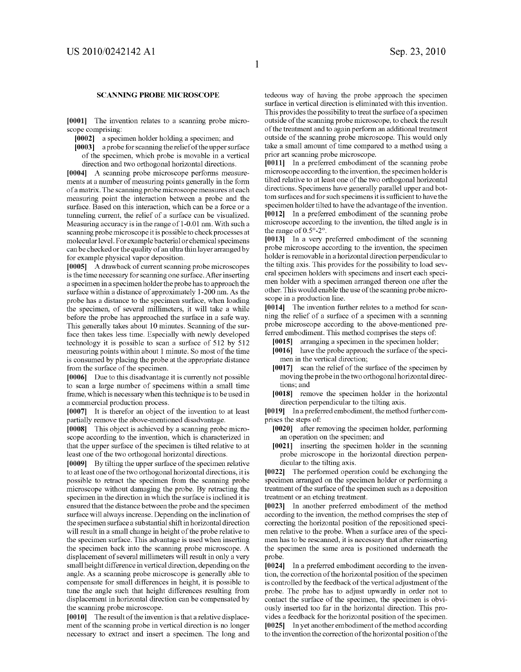## **SCANNING PROBE MICROSCOPE**

[0001] The invention relates to a scanning probe microscope comprising:

[0002] a specimen holder holding a specimen; and

[0003] a probe for scanning the relief of the upper surface of the specimen, which probe is movable in a vertical direction and two orthogonal horizontal directions.

[0004] A scanning probe microscope performs measurements at a number of measuring points generally in the form of a matrix. The scanning probe microscope measures at each measuring point the interaction between a probe and the surface. Based on this interaction, which can be a force or a tunneling current, the relief of a surface can be visualized. Measuring accuracy is in the range of 1-0.01 nm. With such a scanning probe microscope it is possible to check processes at molecular level. For example bacterial or chemical specimens for example physical vapor deposition.

[0005] A drawback of current scanning probe microscopes is the time necessary for scanning one surface. After inserting a specimen in a specimen holder the probe has to approach the surface within a distance of approximately 1-200 nm. As the probe has a distance to the specimen surface, when loading the specimen, of several millimeters, it will take a while before the probe has approached the surface in a safe way. This generally takes about 10 minutes. Scanning of the surface then takes less time. Especially with newly developed technology it is possible to scan a surface of 512 by 512 measuring points within about 1 minute. So most of the time is consumed by placing the probe at the appropriate distance from the surface of the specimen.

[0006] Due to this disadvantage it is currently not possible to scan a large number of specimens within a small time frame, which is necessary when this technique is to be used in a commercial production process.

[0007] It is therefor an object of the invention to at least partially remove the above-mentioned disadvantage.

[0008] This object is achieved by a scanning probe microscope according to the invention, which is characterized in that the upper surface of the specimen is tilted relative to at least one of the two orthogonal horizontal directions.

[0009] By tilting the upper surface of the specimen relative to at least one of the two orthogonal horizontal directions, it is possible to retract the specimen from the scanning probe microscope without damaging the probe. By retracting the specimen in the direction in which the surface is inclined it is ensured that the distance between the probe and the specimen surface will always increase. Depending on the inclination of the specimen Surface a Substantial shift in horizontal direction will result in a small change in height of the probe relative to the specimen Surface. This advantage is used when inserting the specimen back into the scanning probe microscope. A displacement of several millimeters will result in only a very small height difference in vertical direction, depending on the angle. As a scanning probe microscope is generally able to compensate for Small differences in height, it is possible to tune the angle such that height differences resulting from displacement in horizontal direction can be compensated by the scanning probe microscope.

 $[0010]$  The result of the invention is that a relative displacement of the scanning probe in vertical direction is no longer necessary to extract and insert a specimen. The long and tedeous way of having the probe approach the specimen surface in vertical direction is eliminated with this invention. This provides the possibility to treat the surface of a specimen outside of the scanning probe microscope, to check the result of the treatment and to again perform an additional treatment outside of the scanning probe microscope. This would only take a small amount of time compared to a method using a prior art scanning probe microscope.

0011. In a preferred embodiment of the scanning probe microscope according to the invention, the specimenholder is tilted relative to at least one of the two orthogonal horizontal directions. Specimens have generally parallel upper and bot tom surfaces and for Such specimens it is sufficient to have the specimen holder tilted to have the advantage of the invention.<br>[0012] In a preferred embodiment of the scanning probe microscope according to the invention, the tilted angle is in the range of  $0.5^{\circ}$ -2°.<br>[0013] In a very preferred embodiment of the scanning

probe microscope according to the invention, the specimen holder is removable in a horizontal direction perpendicular to the tilting axis. This provides for the possibility to load sev eral specimen holders with specimens and insert each speci men holder with a specimen arranged thereon one after the other. This would enable the use of the scanning probe micro scope in a production line.

[0014] The invention further relates to a method for scanning the relief of a surface of a specimen with a scanning probe microscope according to the above-mentioned preferred embodiment. This method comprises the steps of:

- [0015] arranging a specimen in the specimen holder;
- [0016] have the probe approach the surface of the specimen in the vertical direction;<br>[0017] scan the relief of the surface of the specimen by
- moving the probe in the two orthogonal horizontal directions; and
- [0018] remove the specimen holder in the horizontal direction perpendicular to the tilting axis.

[0019] In a preferred embodiment, the method further comprises the steps of

- [0020] after removing the specimen holder, performing an operation on the specimen; and
- 0021 inserting the specimen holder in the scanning probe microscope in the horizontal direction perpen dicular to the tilting axis.

[0022] The performed operation could be exchanging the specimen arranged on the specimen holder or performing a treatment of the Surface of the specimen such as a deposition treatment or an etching treatment.

[0023] In another preferred embodiment of the method according to the invention, the method comprises the step of correcting the horizontal position of the repositioned speci men relative to the probe. When a surface area of the speci men has to be rescanned, it is necessary that after reinserting the specimen the same area is positioned underneath the probe.

[0024] In a preferred embodiment according to the invention, the correction of the horizontal position of the specimen is controlled by the feedback of the vertical adjustment of the probe. The probe has to adjust upwardly in order not to contact the surface of the specimen, the specimen is obviously inserted too far in the horizontal direction. This provides a feedback for the horizontal position of the specimen. [0025] In yet another embodiment of the method according to the invention the correction of the horizontal position of the